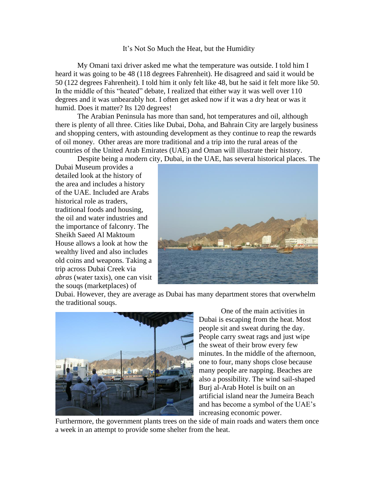## It's Not So Much the Heat, but the Humidity

My Omani taxi driver asked me what the temperature was outside. I told him I heard it was going to be 48 (118 degrees Fahrenheit). He disagreed and said it would be 50 (122 degrees Fahrenheit). I told him it only felt like 48, but he said it felt more like 50. In the middle of this "heated" debate, I realized that either way it was well over 110 degrees and it was unbearably hot. I often get asked now if it was a dry heat or was it humid. Does it matter? Its 120 degrees!

The Arabian Peninsula has more than sand, hot temperatures and oil, although there is plenty of all three. Cities like Dubai, Doha, and Bahrain City are largely business and shopping centers, with astounding development as they continue to reap the rewards of oil money. Other areas are more traditional and a trip into the rural areas of the countries of the United Arab Emirates (UAE) and Oman will illustrate their history.

Despite being a modern city, Dubai, in the UAE, has several historical places. The

Dubai Museum provides a detailed look at the history of the area and includes a history of the UAE. Included are Arabs historical role as traders, traditional foods and housing, the oil and water industries and the importance of falconry. The Sheikh Saeed Al Maktoum House allows a look at how the wealthy lived and also includes old coins and weapons. Taking a trip across Dubai Creek via *abras* (water taxis), one can visit the souqs (marketplaces) of



Dubai. However, they are average as Dubai has many department stores that overwhelm the traditional souqs.



One of the main activities in Dubai is escaping from the heat. Most people sit and sweat during the day. People carry sweat rags and just wipe the sweat of their brow every few minutes. In the middle of the afternoon, one to four, many shops close because many people are napping. Beaches are also a possibility. The wind sail-shaped Burj al-Arab Hotel is built on an artificial island near the Jumeira Beach and has become a symbol of the UAE's increasing economic power.

Furthermore, the government plants trees on the side of main roads and waters them once a week in an attempt to provide some shelter from the heat.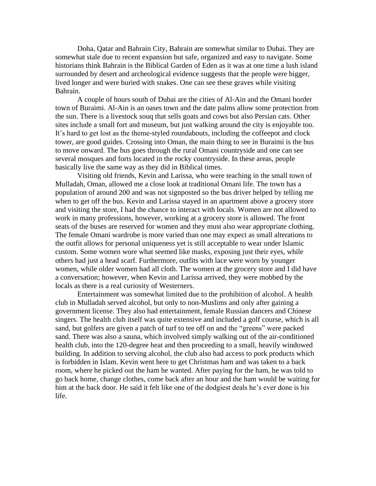Doha, Qatar and Bahrain City, Bahrain are somewhat similar to Dubai. They are somewhat stale due to recent expansion but safe, organized and easy to navigate. Some historians think Bahrain is the Biblical Garden of Eden as it was at one time a lush island surrounded by desert and archeological evidence suggests that the people were bigger, lived longer and were buried with snakes. One can see these graves while visiting Bahrain.

A couple of hours south of Dubai are the cities of Al-Ain and the Omani border town of Buraimi. Al-Ain is an oases town and the date palms allow some protection from the sun. There is a livestock souq that sells goats and cows but also Persian cats. Other sites include a small fort and museum, but just walking around the city is enjoyable too. It's hard to get lost as the theme-styled roundabouts, including the coffeepot and clock tower, are good guides. Crossing into Oman, the main thing to see in Buraimi is the bus to move onward. The bus goes through the rural Omani countryside and one can see several mosques and forts located in the rocky countryside. In these areas, people basically live the same way as they did in Biblical times.

Visiting old friends, Kevin and Larissa, who were teaching in the small town of Mulladah, Oman, allowed me a close look at traditional Omani life. The town has a population of around 200 and was not signposted so the bus driver helped by telling me when to get off the bus. Kevin and Larissa stayed in an apartment above a grocery store and visiting the store, I had the chance to interact with locals. Women are not allowed to work in many professions, however, working at a grocery store is allowed. The front seats of the buses are reserved for women and they must also wear appropriate clothing. The female Omani wardrobe is more varied than one may expect as small alterations to the outfit allows for personal uniqueness yet is still acceptable to wear under Islamic custom. Some women wore what seemed like masks, exposing just their eyes, while others had just a head scarf. Furthermore, outfits with lace were worn by younger women, while older women had all cloth. The women at the grocery store and I did have a conversation; however, when Kevin and Larissa arrived, they were mobbed by the locals as there is a real curiosity of Westerners.

Entertainment was somewhat limited due to the prohibition of alcohol. A health club in Mulladah served alcohol, but only to non-Muslims and only after gaining a government license. They also had entertainment, female Russian dancers and Chinese singers. The health club itself was quite extensive and included a golf course, which is all sand, but golfers are given a patch of turf to tee off on and the "greens" were packed sand. There was also a sauna, which involved simply walking out of the air-conditioned health club, into the 120-degree heat and then proceeding to a small, heavily windowed building. In addition to serving alcohol, the club also had access to pork products which is forbidden in Islam. Kevin went here to get Christmas ham and was taken to a back room, where he picked out the ham he wanted. After paying for the ham, he was told to go back home, change clothes, come back after an hour and the ham would be waiting for him at the back door. He said it felt like one of the dodgiest deals he's ever done is his life.